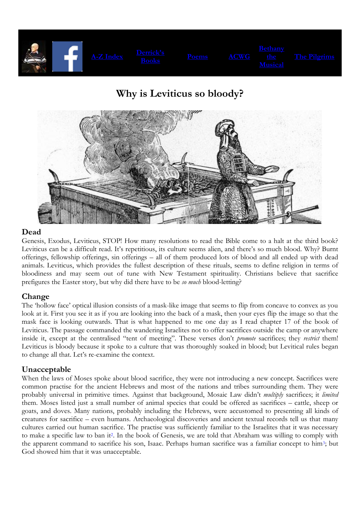

# **Why is Leviticus so bloody?**



### **Dead**

Genesis, Exodus, Leviticus, STOP! How many resolutions to read the Bible come to a halt at the third book? Leviticus can be a difficult read. It's repetitious, its culture seems alien, and there's so much blood. Why? Burnt offerings, fellowship offerings, sin offerings – all of them produced lots of blood and all ended up with dead animals. Leviticus, which provides the fullest description of these rituals, seems to define religion in terms of bloodiness and may seem out of tune with New Testament spirituality. Christians believe that sacrifice prefigures the Easter story, but why did there have to be *so much* blood-letting?

# **Change**

The 'hollow face' optical illusion consists of a mask-like image that seems to flip from concave to convex as you look at it. First you see it as if you are looking into the back of a mask, then your eyes flip the image so that the mask face is looking outwards. That is what happened to me one day as I read chapter 17 of the book of Leviticus. The passage commanded the wandering Israelites not to offer sacrifices outside the camp or anywhere inside it, except at the centralised "tent of meeting". These verses don't *promote* sacrifices; they *restrict* them! Leviticus is bloody because it spoke to a culture that was thoroughly soaked in blood; but Levitical rules began to change all that. Let's re-examine the context.

# **Unacceptable**

When the laws of Moses spoke about blood sacrifice, they were not introducing a new concept. Sacrifices were common practise for the ancient Hebrews and most of the nations and tribes surrounding them. They were probably universal in primitive times. Against that background, Mosaic Law didn't *multiply* sacrifices; it *limited* them. Moses listed just a small number of animal species that could be offered as sacrifices – cattle, sheep or goats, and doves. Many nations, probably including the Hebrews, were accustomed to presenting all kinds of creatures for sacrifice – even humans. Archaeological discoveries and ancient textual records tell us that many cultures carried out human sacrifice. The practise was sufficiently familiar to the Israelites that it was necessary to make a specific law to ban it <sup>2</sup>. In the book of Genesis, we are told that Abraham was willing to comply with the apparent command to sacrifice his son, Isaac. Perhaps human sacrifice was a familiar concept to him3; but God showed him that it was unacceptable.